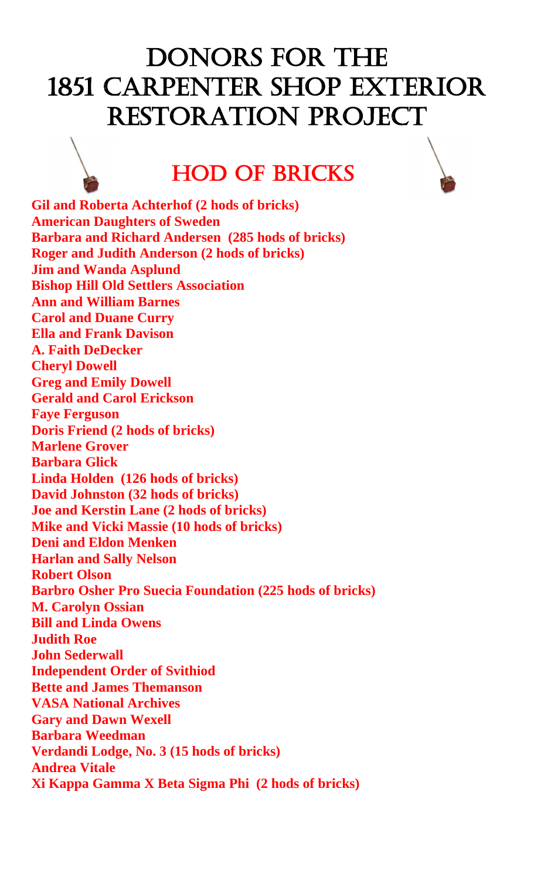## DONORS FOR THE 1851 Carpenter shop exterior Restoration Project

## Hod of Bricks

**Gil and Roberta Achterhof (2 hods of bricks) American Daughters of Sweden Barbara and Richard Andersen (285 hods of bricks) Roger and Judith Anderson (2 hods of bricks) Jim and Wanda Asplund Bishop Hill Old Settlers Association Ann and William Barnes Carol and Duane Curry Ella and Frank Davison A. Faith DeDecker Cheryl Dowell Greg and Emily Dowell Gerald and Carol Erickson Faye Ferguson Doris Friend (2 hods of bricks) Marlene Grover Barbara Glick Linda Holden (126 hods of bricks) David Johnston (32 hods of bricks) Joe and Kerstin Lane (2 hods of bricks) Mike and Vicki Massie (10 hods of bricks) Deni and Eldon Menken Harlan and Sally Nelson Robert Olson Barbro Osher Pro Suecia Foundation (225 hods of bricks) M. Carolyn Ossian Bill and Linda Owens Judith Roe John Sederwall Independent Order of Svithiod Bette and James Themanson VASA National Archives Gary and Dawn Wexell Barbara Weedman Verdandi Lodge, No. 3 (15 hods of bricks) Andrea Vitale Xi Kappa Gamma X Beta Sigma Phi (2 hods of bricks)**